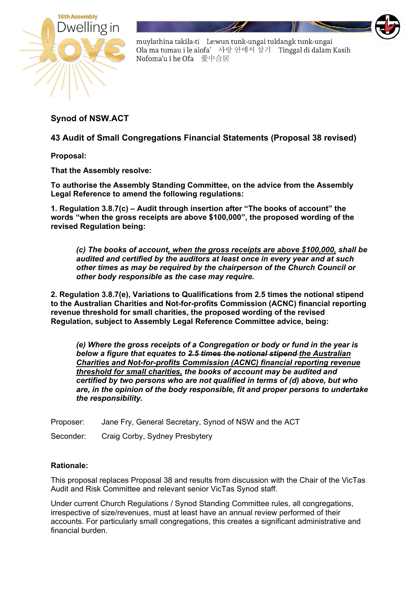

## **Synod of NSW.ACT**

**43 Audit of Small Congregations Financial Statements (Proposal 38 revised)**

**Proposal:** 

**That the Assembly resolve:**

**To authorise the Assembly Standing Committee, on the advice from the Assembly Legal Reference to amend the following regulations:**

**1. Regulation 3.8.7(c) – Audit through insertion after "The books of account" the words "when the gross receipts are above \$100,000", the proposed wording of the revised Regulation being:**

*(c) The books of account, when the gross receipts are above \$100,000, shall be audited and certified by the auditors at least once in every year and at such other times as may be required by the chairperson of the Church Council or other body responsible as the case may require.*

**2. Regulation 3.8.7(e), Variations to Qualifications from 2.5 times the notional stipend to the Australian Charities and Not-for-profits Commission (ACNC) financial reporting revenue threshold for small charities, the proposed wording of the revised Regulation, subject to Assembly Legal Reference Committee advice, being:**

*(e) Where the gross receipts of a Congregation or body or fund in the year is below a figure that equates to 2.5 times the notional stipend the Australian Charities and Not-for-profits Commission (ACNC) financial reporting revenue threshold for small charities, the books of account may be audited and certified by two persons who are not qualified in terms of (d) above, but who are, in the opinion of the body responsible, fit and proper persons to undertake the responsibility.* 

Proposer: Jane Fry, General Secretary, Synod of NSW and the ACT

Seconder: Craig Corby, Sydney Presbytery

## **Rationale:**

This proposal replaces Proposal 38 and results from discussion with the Chair of the VicTas Audit and Risk Committee and relevant senior VicTas Synod staff.

Under current Church Regulations / Synod Standing Committee rules, all congregations, irrespective of size/revenues, must at least have an annual review performed of their accounts. For particularly small congregations, this creates a significant administrative and financial burden.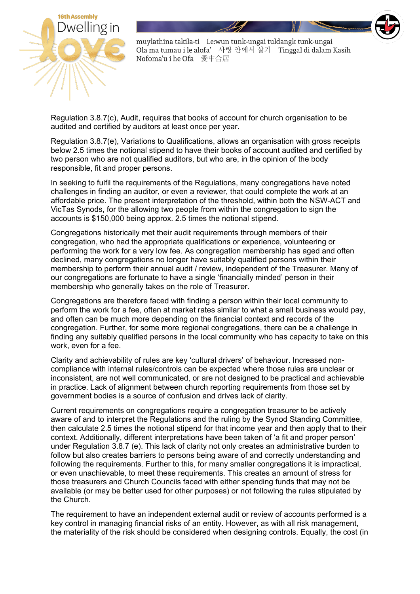

Regulation 3.8.7(c), Audit, requires that books of account for church organisation to be audited and certified by auditors at least once per year.

Regulation 3.8.7(e), Variations to Qualifications, allows an organisation with gross receipts below 2.5 times the notional stipend to have their books of account audited and certified by two person who are not qualified auditors, but who are, in the opinion of the body responsible, fit and proper persons.

In seeking to fulfil the requirements of the Regulations, many congregations have noted challenges in finding an auditor, or even a reviewer, that could complete the work at an affordable price. The present interpretation of the threshold, within both the NSW-ACT and VicTas Synods, for the allowing two people from within the congregation to sign the accounts is \$150,000 being approx. 2.5 times the notional stipend.

Congregations historically met their audit requirements through members of their congregation, who had the appropriate qualifications or experience, volunteering or performing the work for a very low fee. As congregation membership has aged and often declined, many congregations no longer have suitably qualified persons within their membership to perform their annual audit / review, independent of the Treasurer. Many of our congregations are fortunate to have a single 'financially minded' person in their membership who generally takes on the role of Treasurer.

Congregations are therefore faced with finding a person within their local community to perform the work for a fee, often at market rates similar to what a small business would pay, and often can be much more depending on the financial context and records of the congregation. Further, for some more regional congregations, there can be a challenge in finding any suitably qualified persons in the local community who has capacity to take on this work, even for a fee.

Clarity and achievability of rules are key 'cultural drivers' of behaviour. Increased noncompliance with internal rules/controls can be expected where those rules are unclear or inconsistent, are not well communicated, or are not designed to be practical and achievable in practice. Lack of alignment between church reporting requirements from those set by government bodies is a source of confusion and drives lack of clarity.

Current requirements on congregations require a congregation treasurer to be actively aware of and to interpret the Regulations and the ruling by the Synod Standing Committee, then calculate 2.5 times the notional stipend for that income year and then apply that to their context. Additionally, different interpretations have been taken of 'a fit and proper person' under Regulation 3.8.7 (e). This lack of clarity not only creates an administrative burden to follow but also creates barriers to persons being aware of and correctly understanding and following the requirements. Further to this, for many smaller congregations it is impractical, or even unachievable, to meet these requirements. This creates an amount of stress for those treasurers and Church Councils faced with either spending funds that may not be available (or may be better used for other purposes) or not following the rules stipulated by the Church.

The requirement to have an independent external audit or review of accounts performed is a key control in managing financial risks of an entity. However, as with all risk management, the materiality of the risk should be considered when designing controls. Equally, the cost (in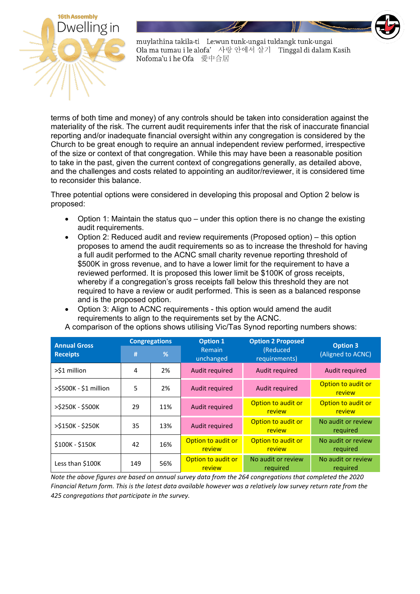

terms of both time and money) of any controls should be taken into consideration against the materiality of the risk. The current audit requirements infer that the risk of inaccurate financial reporting and/or inadequate financial oversight within any congregation is considered by the Church to be great enough to require an annual independent review performed, irrespective of the size or context of that congregation. While this may have been a reasonable position to take in the past, given the current context of congregations generally, as detailed above, and the challenges and costs related to appointing an auditor/reviewer, it is considered time to reconsider this balance.

Three potential options were considered in developing this proposal and Option 2 below is proposed:

- Option 1: Maintain the status quo under this option there is no change the existing audit requirements.
- Option 2: Reduced audit and review requirements (Proposed option) this option proposes to amend the audit requirements so as to increase the threshold for having a full audit performed to the ACNC small charity revenue reporting threshold of \$500K in gross revenue, and to have a lower limit for the requirement to have a reviewed performed. It is proposed this lower limit be \$100K of gross receipts, whereby if a congregation's gross receipts fall below this threshold they are not required to have a review or audit performed. This is seen as a balanced response and is the proposed option.
- Option 3: Align to ACNC requirements this option would amend the audit requirements to align to the requirements set by the ACNC.

| <b>Annual Gross</b>   | <b>Congregations</b> |     | <b>Option 1</b>              | <b>Option 2 Proposed</b>            | <b>Option 3</b>                     |
|-----------------------|----------------------|-----|------------------------------|-------------------------------------|-------------------------------------|
| <b>Receipts</b>       | #                    | %   | <b>Remain</b><br>unchanged   | (Reduced<br>requirements)           | (Aligned to ACNC)                   |
| >\$1 million          | 4                    | 2%  | Audit required               | <b>Audit required</b>               | Audit required                      |
| >\$500K - \$1 million | 5                    | 2%  | Audit required               | Audit required                      | Option to audit or<br><b>review</b> |
| >\$250K - \$500K      | 29                   | 11% | Audit required               | Option to audit or<br>review        | Option to audit or<br>review        |
| >\$150K - \$250K      | 35                   | 13% | Audit required               | Option to audit or<br><b>review</b> | No audit or review<br>required      |
| \$100K - \$150K       | 42                   | 16% | Option to audit or<br>review | Option to audit or<br><b>review</b> | No audit or review<br>required      |
| Less than \$100K      | 149                  | 56% | Option to audit or<br>review | No audit or review<br>required      | No audit or review<br>required      |

A comparison of the options shows utilising Vic/Tas Synod reporting numbers shows:

*Note the above figures are based on annual survey data from the 264 congregations that completed the 2020 Financial Return form. This is the latest data available however was a relatively low survey return rate from the 425 congregations that participate in the survey.*